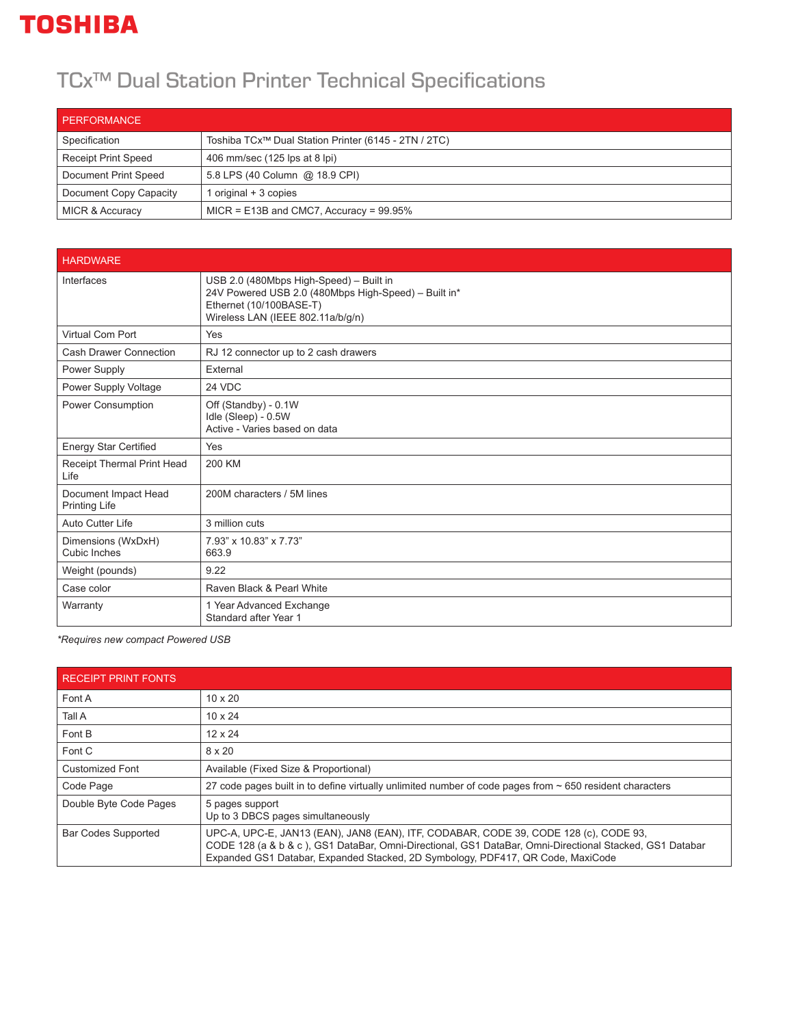## **TOSHIBA**

## TCx™ Dual Station Printer Technical Specifications

| PERFORMANCE                |                                                                  |
|----------------------------|------------------------------------------------------------------|
| Specification              | Toshiba TCx <sup>™</sup> Dual Station Printer (6145 - 2TN / 2TC) |
| <b>Receipt Print Speed</b> | 406 mm/sec (125 lps at 8 lpi)                                    |
| Document Print Speed       | 5.8 LPS (40 Column @ 18.9 CPI)                                   |
| Document Copy Capacity     | original + 3 copies                                              |
| <b>MICR &amp; Accuracy</b> | $MICR = E13B$ and CMC7, Accuracy = 99.95%                        |

| <b>HARDWARE</b>                              |                                                                                                                                                                 |
|----------------------------------------------|-----------------------------------------------------------------------------------------------------------------------------------------------------------------|
| Interfaces                                   | USB 2.0 (480Mbps High-Speed) - Built in<br>24V Powered USB 2.0 (480Mbps High-Speed) - Built in*<br>Ethernet (10/100BASE-T)<br>Wireless LAN (IEEE 802.11a/b/g/n) |
| <b>Virtual Com Port</b>                      | Yes                                                                                                                                                             |
| Cash Drawer Connection                       | RJ 12 connector up to 2 cash drawers                                                                                                                            |
| Power Supply                                 | External                                                                                                                                                        |
| Power Supply Voltage                         | 24 VDC                                                                                                                                                          |
| Power Consumption                            | Off (Standby) - 0.1W<br>Idle (Sleep) - 0.5W<br>Active - Varies based on data                                                                                    |
| <b>Energy Star Certified</b>                 | Yes                                                                                                                                                             |
| Receipt Thermal Print Head<br>Life           | 200 KM                                                                                                                                                          |
| Document Impact Head<br><b>Printing Life</b> | 200M characters / 5M lines                                                                                                                                      |
| Auto Cutter Life                             | 3 million cuts                                                                                                                                                  |
| Dimensions (WxDxH)<br>Cubic Inches           | 7.93" x 10.83" x 7.73"<br>663.9                                                                                                                                 |
| Weight (pounds)                              | 9.22                                                                                                                                                            |
| Case color                                   | Raven Black & Pearl White                                                                                                                                       |
| Warranty                                     | 1 Year Advanced Exchange<br>Standard after Year 1                                                                                                               |

*\*Requires new compact Powered USB*

| <b>RECEIPT PRINT FONTS</b> |                                                                                                                                                                                                                                                                                    |
|----------------------------|------------------------------------------------------------------------------------------------------------------------------------------------------------------------------------------------------------------------------------------------------------------------------------|
| Font A                     | $10 \times 20$                                                                                                                                                                                                                                                                     |
| Tall A                     | $10 \times 24$                                                                                                                                                                                                                                                                     |
| Font B                     | $12 \times 24$                                                                                                                                                                                                                                                                     |
| Font C                     | $8 \times 20$                                                                                                                                                                                                                                                                      |
| <b>Customized Font</b>     | Available (Fixed Size & Proportional)                                                                                                                                                                                                                                              |
| Code Page                  | 27 code pages built in to define virtually unlimited number of code pages from ~ 650 resident characters                                                                                                                                                                           |
| Double Byte Code Pages     | 5 pages support<br>Up to 3 DBCS pages simultaneously                                                                                                                                                                                                                               |
| <b>Bar Codes Supported</b> | UPC-A, UPC-E, JAN13 (EAN), JAN8 (EAN), ITF, CODABAR, CODE 39, CODE 128 (c), CODE 93,<br>CODE 128 (a & b & c), GS1 DataBar, Omni-Directional, GS1 DataBar, Omni-Directional Stacked, GS1 Databar<br>Expanded GS1 Databar, Expanded Stacked, 2D Symbology, PDF417, QR Code, MaxiCode |